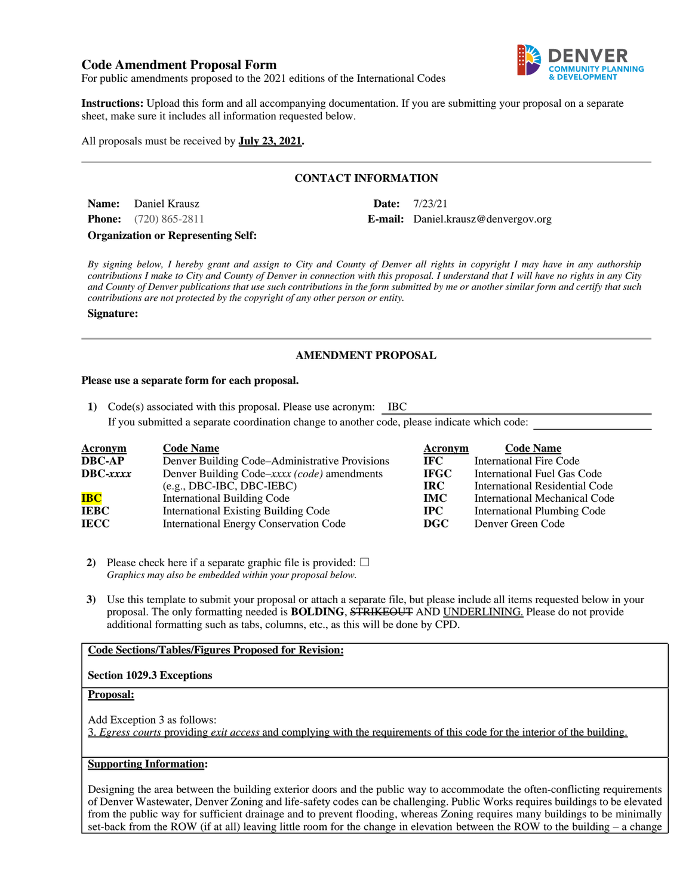# **Code Amendment Proposal Form**



For public amendments proposed to the 2021 editions of the International Codes

**Instructions:** Upload this form and all accompanying documentation. If you are submitting your proposal on a separate sheet, make sure it includes all information requested below.

# All proposals must be received by **July 23, 2021.**

# **CONTACT INFORMATION**

**Name:** Daniel Krausz **Date:** 7/23/21

**Phone:** (720) 865-2811 **E-mail:** Daniel.krausz@denvergov.org

**Organization or Representing Self:**

*By signing below, I hereby grant and assign to City and County of Denver all rights in copyright I may have in any authorship contributions I make to City and County of Denver in connection with this proposal. I understand that I will have no rights in any City and County of Denver publications that use such contributions in the form submitted by me or another similar form and certify that such contributions are not protected by the copyright of any other person or entity.* 

#### **Signature:**

# **AMENDMENT PROPOSAL**

#### **Please use a separate form for each proposal.**

**1)** Code(s) associated with this proposal. Please use acronym: IBC

If you submitted a separate coordination change to another code, please indicate which code:

| <b>Acronym</b>  | <b>Code Name</b>                               | Acronym     | <b>Code Name</b>                   |
|-----------------|------------------------------------------------|-------------|------------------------------------|
| DBC-AP          | Denver Building Code–Administrative Provisions | IFC -       | <b>International Fire Code</b>     |
| <b>DBC-xxxx</b> | Denver Building Code–xxxx (code) amendments    | <b>IFGC</b> | International Fuel Gas Code        |
|                 | $(e.g., DBC-IBC, DBC-IEBC)$                    | IRC         | International Residential Code     |
| <b>IBC</b>      | <b>International Building Code</b>             | <b>IMC</b>  | International Mechanical Code      |
| IEBC            | <b>International Existing Building Code</b>    | $\bf IPC$   | <b>International Plumbing Code</b> |
| IECC            | <b>International Energy Conservation Code</b>  | <b>DGC</b>  | Denver Green Code                  |

**2)** Please check here if a separate graphic file is provided:  $\Box$ *Graphics may also be embedded within your proposal below.*

**3)** Use this template to submit your proposal or attach a separate file, but please include all items requested below in your proposal. The only formatting needed is **BOLDING**, STRIKEOUT AND UNDERLINING. Please do not provide additional formatting such as tabs, columns, etc., as this will be done by CPD.

# **Code Sections/Tables/Figures Proposed for Revision:**

### **Section 1029.3 Exceptions**

### **Proposal:**

Add Exception 3 as follows:

3. *Egress courts* providing *exit access* and complying with the requirements of this code for the interior of the building.

## **Supporting Information:**

Designing the area between the building exterior doors and the public way to accommodate the often-conflicting requirements of Denver Wastewater, Denver Zoning and life-safety codes can be challenging. Public Works requires buildings to be elevated from the public way for sufficient drainage and to prevent flooding, whereas Zoning requires many buildings to be minimally set-back from the ROW (if at all) leaving little room for the change in elevation between the ROW to the building – a change